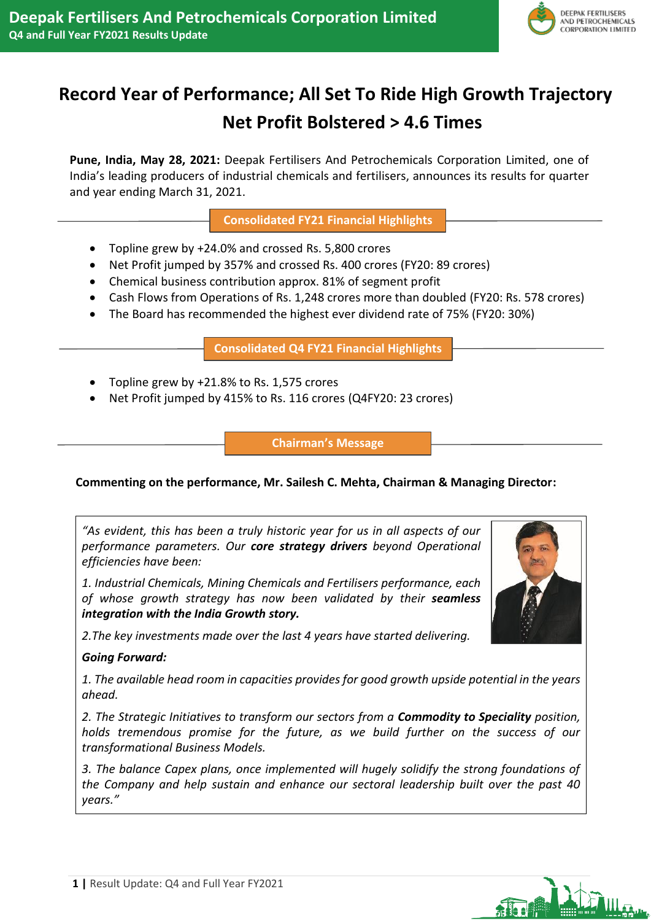

# **Record Year of Performance; All Set To Ride High Growth Trajectory Net Profit Bolstered > 4.6 Times**

**Pune, India, May 28, 2021:** Deepak Fertilisers And Petrochemicals Corporation Limited, one of India's leading producers of industrial chemicals and fertilisers, announces its results for quarter and year ending March 31, 2021.

**Consolidated FY21 Financial Highlights**

- Topline grew by +24.0% and crossed Rs. 5,800 crores
- Net Profit jumped by 357% and crossed Rs. 400 crores (FY20: 89 crores)
- Chemical business contribution approx. 81% of segment profit
- Cash Flows from Operations of Rs. 1,248 crores more than doubled (FY20: Rs. 578 crores)
- The Board has recommended the highest ever dividend rate of 75% (FY20: 30%)

**Consolidated Q4 FY21 Financial Highlights**

- Topline grew by +21.8% to Rs. 1,575 crores
- Net Profit jumped by 415% to Rs. 116 crores (Q4FY20: 23 crores)

**Chairman's Message**

# **Commenting on the performance, Mr. Sailesh C. Mehta, Chairman & Managing Director:**

*"As evident, this has been a truly historic year for us in all aspects of our performance parameters. Our core strategy drivers beyond Operational efficiencies have been:* 

*1. Industrial Chemicals, Mining Chemicals and Fertilisers performance, each of whose growth strategy has now been validated by their seamless integration with the India Growth story.*

*2.The key investments made over the last 4 years have started delivering.*

# *Going Forward:*

*1. The available head room in capacities provides for good growth upside potential in the years ahead.*

*2. The Strategic Initiatives to transform our sectors from a Commodity to Speciality position, holds tremendous promise for the future, as we build further on the success of our transformational Business Models.* 

*3. The balance Capex plans, once implemented will hugely solidify the strong foundations of the Company and help sustain and enhance our sectoral leadership built over the past 40 years."*



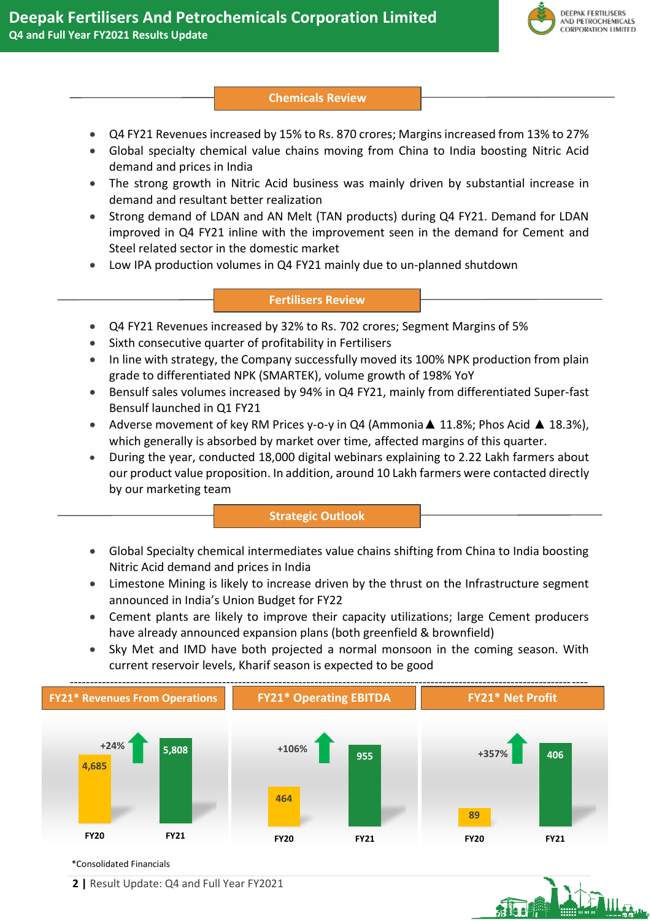

## **Chemicals Review**

- Q4 FY21 Revenues increased by 15% to Rs. 870 crores; Margins increased from 13% to 27%
- Global specialty chemical value chains moving from China to India boosting Nitric Acid demand and prices in India
- The strong growth in Nitric Acid business was mainly driven by substantial increase in demand and resultant better realization
- Strong demand of LDAN and AN Melt (TAN products) during Q4 FY21. Demand for LDAN improved in Q4 FY21 inline with the improvement seen in the demand for Cement and Steel related sector in the domestic market
- Low IPA production volumes in Q4 FY21 mainly due to un-planned shutdown

## **Fertilisers Review**

- Q4 FY21 Revenues increased by 32% to Rs. 702 crores; Segment Margins of 5%
- Sixth consecutive quarter of profitability in Fertilisers
- In line with strategy, the Company successfully moved its 100% NPK production from plain grade to differentiated NPK (SMARTEK), volume growth of 198% YoY
- Bensulf sales volumes increased by 94% in Q4 FY21, mainly from differentiated Super-fast Bensulf launched in Q1 FY21
- Adverse movement of key RM Prices y-o-y in Q4 (Ammonia▲ 11.8%; Phos Acid ▲ 18.3%), which generally is absorbed by market over time, affected margins of this quarter.
- During the year, conducted 18,000 digital webinars explaining to 2.22 Lakh farmers about our product value proposition. In addition, around 10 Lakh farmers were contacted directly by our marketing team

## **Strategic Outlook**

- Global Specialty chemical intermediates value chains shifting from China to India boosting Nitric Acid demand and prices in India
- Limestone Mining is likely to increase driven by the thrust on the Infrastructure segment announced in India's Union Budget for FY22
- Cement plants are likely to improve their capacity utilizations; large Cement producers have already announced expansion plans (both greenfield & brownfield)
- Sky Met and IMD have both projected a normal monsoon in the coming season. With current reservoir levels, Kharif season is expected to be good



\*Consolidated Financials

**2 |** Result Update: Q4 and Full Year FY2021